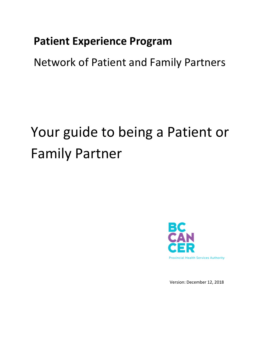# **Patient Experience Program**

Network of Patient and Family Partners

# Your guide to being a Patient or Family Partner



Version: December 12, 2018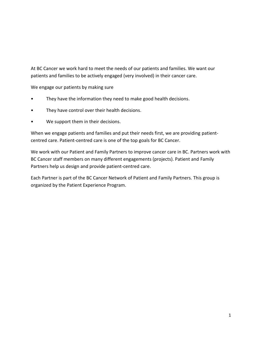At BC Cancer we work hard to meet the needs of our patients and families. We want our patients and families to be actively engaged (very involved) in their cancer care.

We engage our patients by making sure

- They have the information they need to make good health decisions.
- They have control over their health decisions.
- We support them in their decisions.

When we engage patients and families and put their needs first, we are providing patientcentred care. Patient-centred care is one of the top goals for BC Cancer.

We work with our Patient and Family Partners to improve cancer care in BC. Partners work with BC Cancer staff members on many different engagements (projects). Patient and Family Partners help us design and provide patient-centred care.

Each Partner is part of the BC Cancer Network of Patient and Family Partners. This group is organized by the Patient Experience Program.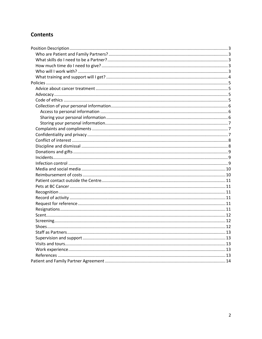## **Contents**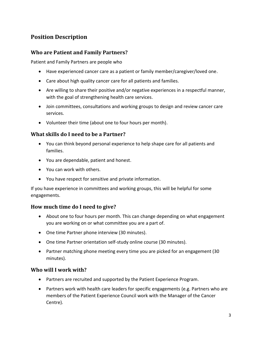# <span id="page-3-0"></span>**Position Description**

#### <span id="page-3-1"></span>**Who are Patient and Family Partners?**

Patient and Family Partners are people who

- Have experienced cancer care as a patient or family member/caregiver/loved one.
- Care about high quality cancer care for all patients and families.
- Are willing to share their positive and/or negative experiences in a respectful manner, with the goal of strengthening health care services.
- Join committees, consultations and working groups to design and review cancer care services.
- Volunteer their time (about one to four hours per month).

#### <span id="page-3-2"></span>**What skills do I need to be a Partner?**

- You can think beyond personal experience to help shape care for all patients and families.
- You are dependable, patient and honest.
- You can work with others.
- You have respect for sensitive and private information.

If you have experience in committees and working groups, this will be helpful for some engagements.

#### <span id="page-3-3"></span>**How much time do I need to give?**

- About one to four hours per month. This can change depending on what engagement you are working on or what committee you are a part of.
- One time Partner phone interview (30 minutes).
- One time Partner orientation self-study online course (30 minutes).
- Partner matching phone meeting every time you are picked for an engagement (30 minutes).

#### <span id="page-3-4"></span>**Who will I work with?**

- Partners are recruited and supported by the Patient Experience Program.
- Partners work with health care leaders for specific engagements (e.g. Partners who are members of the Patient Experience Council work with the Manager of the Cancer Centre).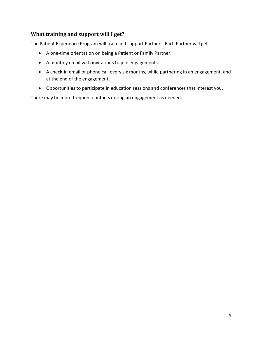#### <span id="page-4-0"></span>**What training and support will I get?**

The Patient Experience Program will train and support Partners. Each Partner will get

- A one-time orientation on being a Patient or Family Partner.
- A monthly email with invitations to join engagements.
- A check-in email or phone call every six months, while partnering in an engagement, and at the end of the engagement.
- Opportunities to participate in education sessions and conferences that interest you.

There may be more frequent contacts during an engagement as needed.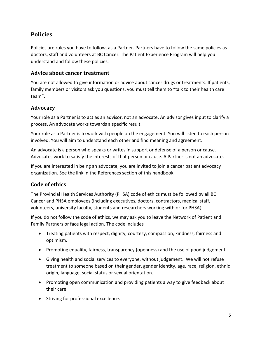# <span id="page-5-0"></span>**Policies**

Policies are rules you have to follow, as a Partner. Partners have to follow the same policies as doctors, staff and volunteers at BC Cancer. The Patient Experience Program will help you understand and follow these policies.

#### <span id="page-5-1"></span>**Advice about cancer treatment**

You are not allowed to give information or advice about cancer drugs or treatments. If patients, family members or visitors ask you questions, you must tell them to "talk to their health care team".

#### <span id="page-5-2"></span>**Advocacy**

Your role as a Partner is to act as an advisor, not an advocate. An advisor gives input to clarify a process. An advocate works towards a specific result.

Your role as a Partner is to work with people on the engagement. You will listen to each person involved. You will aim to understand each other and find meaning and agreement.

An advocate is a person who speaks or writes in support or defense of a person or cause. Advocates work to satisfy the interests of that person or cause. A Partner is not an advocate.

If you are interested in being an advocate, you are invited to join a cancer patient advocacy organization. See the link in the References section of this handbook.

### <span id="page-5-3"></span>**Code of ethics**

The Provincial Health Services Authority (PHSA) code of ethics must be followed by all BC Cancer and PHSA employees (including executives, doctors, contractors, medical staff, volunteers, university faculty, students and researchers working with or for PHSA).

If you do not follow the code of ethics, we may ask you to leave the Network of Patient and Family Partners or face legal action. The code includes

- Treating patients with respect, dignity, courtesy, compassion, kindness, fairness and optimism.
- Promoting equality, fairness, transparency (openness) and the use of good judgement.
- Giving health and social services to everyone, without judgement. We will not refuse treatment to someone based on their gender, gender identity, age, race, religion, ethnic origin, language, social status or sexual orientation.
- Promoting open communication and providing patients a way to give feedback about their care.
- Striving for professional excellence.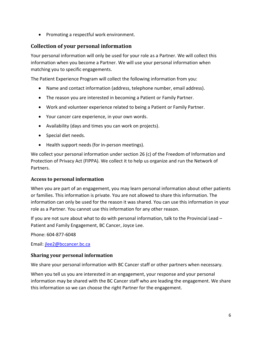• Promoting a respectful work environment.

#### <span id="page-6-0"></span>**Collection of your personal information**

Your personal information will only be used for your role as a Partner. We will collect this information when you become a Partner. We will use your personal information when matching you to specific engagements.

The Patient Experience Program will collect the following information from you:

- Name and contact information (address, telephone number, email address).
- The reason you are interested in becoming a Patient or Family Partner.
- Work and volunteer experience related to being a Patient or Family Partner.
- Your cancer care experience, in your own words.
- Availability (days and times you can work on projects).
- Special diet needs.
- Health support needs (for in-person meetings).

We collect your personal information under section 26 (c) of the Freedom of Information and Protection of Privacy Act (FIPPA). We collect it to help us organize and run the Network of Partners.

#### <span id="page-6-1"></span>**Access to personal information**

When you are part of an engagement, you may learn personal information about other patients or families. This information is private. You are not allowed to share this information. The information can only be used for the reason it was shared. You can use this information in your role as a Partner. You cannot use this information for any other reason.

If you are not sure about what to do with personal information, talk to the Provincial Lead – Patient and Family Engagement, BC Cancer, Joyce Lee.

Phone: 604-877-6048

Email: [jlee2@bccancer.bc.ca](mailto:jlee2@bccancer.bc.ca)

#### <span id="page-6-2"></span>**Sharing your personal information**

We share your personal information with BC Cancer staff or other partners when necessary.

When you tell us you are interested in an engagement, your response and your personal information may be shared with the BC Cancer staff who are leading the engagement. We share this information so we can choose the right Partner for the engagement.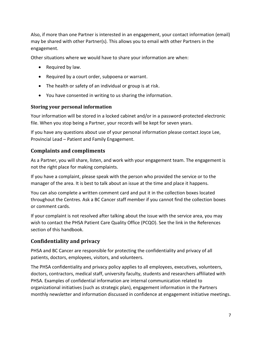Also, if more than one Partner is interested in an engagement, your contact information (email) may be shared with other Partner(s). This allows you to email with other Partners in the engagement.

Other situations where we would have to share your information are when:

- Required by law.
- Required by a court order, subpoena or warrant.
- The health or safety of an individual or group is at risk.
- You have consented in writing to us sharing the information.

#### <span id="page-7-0"></span>**Storing your personal information**

Your information will be stored in a locked cabinet and/or in a password-protected electronic file. When you stop being a Partner, your records will be kept for seven years.

If you have any questions about use of your personal information please contact Joyce Lee, Provincial Lead – Patient and Family Engagement.

#### <span id="page-7-1"></span>**Complaints and compliments**

As a Partner, you will share, listen, and work with your engagement team. The engagement is not the right place for making complaints.

If you have a complaint, please speak with the person who provided the service or to the manager of the area. It is best to talk about an issue at the time and place it happens.

You can also complete a written comment card and put it in the collection boxes located throughout the Centres. Ask a BC Cancer staff member if you cannot find the collection boxes or comment cards.

If your complaint is not resolved after talking about the issue with the service area, you may wish to contact the PHSA Patient Care Quality Office (PCQO). See the link in the References section of this handbook.

#### <span id="page-7-2"></span>**Confidentiality and privacy**

PHSA and BC Cancer are responsible for protecting the confidentiality and privacy of all patients, doctors, employees, visitors, and volunteers.

The PHSA confidentiality and privacy policy applies to all employees, executives, volunteers, doctors, contractors, medical staff, university faculty, students and researchers affiliated with PHSA. Examples of confidential information are internal communication related to organizational initiatives (such as strategic plan), engagement information in the Partners monthly newsletter and information discussed in confidence at engagement initiative meetings.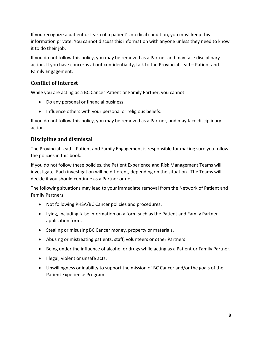If you recognize a patient or learn of a patient's medical condition, you must keep this information private. You cannot discuss this information with anyone unless they need to know it to do their job.

If you do not follow this policy, you may be removed as a Partner and may face disciplinary action. If you have concerns about confidentiality, talk to the Provincial Lead – Patient and Family Engagement.

#### <span id="page-8-0"></span>**Conflict of interest**

While you are acting as a BC Cancer Patient or Family Partner, you cannot

- Do any personal or financial business.
- Influence others with your personal or religious beliefs.

If you do not follow this policy, you may be removed as a Partner, and may face disciplinary action.

#### <span id="page-8-1"></span>**Discipline and dismissal**

The Provincial Lead – Patient and Family Engagement is responsible for making sure you follow the policies in this book.

If you do not follow these policies, the Patient Experience and Risk Management Teams will investigate. Each investigation will be different, depending on the situation. The Teams will decide if you should continue as a Partner or not.

The following situations may lead to your immediate removal from the Network of Patient and Family Partners:

- Not following PHSA/BC Cancer policies and procedures.
- Lying, including false information on a form such as the Patient and Family Partner application form.
- Stealing or misusing BC Cancer money, property or materials.
- Abusing or mistreating patients, staff, volunteers or other Partners.
- Being under the influence of alcohol or drugs while acting as a Patient or Family Partner.
- Illegal, violent or unsafe acts.
- Unwillingness or inability to support the mission of BC Cancer and/or the goals of the Patient Experience Program.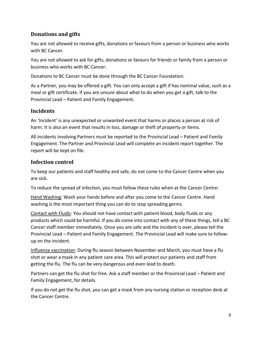#### <span id="page-9-0"></span>**Donations and gifts**

You are not allowed to receive gifts, donations or favours from a person or business who works with BC Cancer.

You are not allowed to ask for gifts, donations or favours for friends or family from a person or business who works with BC Cancer.

Donations to BC Cancer must be done through the BC Cancer Foundation.

As a Partner, you may be offered a gift. You can only accept a gift if has nominal value, such as a meal or gift certificate. If you are unsure about what to do when you get a gift, talk to the Provincial Lead – Patient and Family Engagement.

#### <span id="page-9-1"></span>**Incidents**

An 'Incident' is any unexpected or unwanted event that harms or places a person at risk of harm. It is also an event that results in loss, damage or theft of property or items.

All incidents involving Partners must be reported to the Provincial Lead – Patient and Family Engagement. The Partner and Provincial Lead will complete an incident report together. The report will be kept on file.

#### <span id="page-9-2"></span>**Infection control**

To keep our patients and staff healthy and safe, do not come to the Cancer Centre when you are sick.

To reduce the spread of infection, you must follow these rules when at the Cancer Centre:

Hand Washing: Wash your hands before and after you come to the Cancer Centre. Hand washing is the most important thing you can do to stop spreading germs.

Contact with Fluids: You should not have contact with patient blood, body fluids or any products which could be harmful. If you do come into contact with any of these things, tell a BC Cancer staff member immediately. Once you are safe and the incident is over, please tell the Provincial Lead – Patient and Family Engagement. The Provincial Lead will make sure to followup on the incident.

Influenza vaccination: During flu season between November and March, you must have a flu shot or wear a mask in any patient care area. This will protect our patients and staff from getting the flu. The flu can be very dangerous and even lead to death.

Partners can get the flu shot for free. Ask a staff member or the Provincial Lead – Patient and Family Engagement, for details.

If you do not get the flu shot, you can get a mask from any nursing station or reception desk at the Cancer Centre.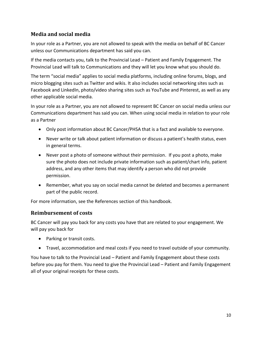#### <span id="page-10-0"></span>**Media and social media**

In your role as a Partner, you are not allowed to speak with the media on behalf of BC Cancer unless our Communications department has said you can.

If the media contacts you, talk to the Provincial Lead – Patient and Family Engagement. The Provincial Lead will talk to Communications and they will let you know what you should do.

The term "social media" applies to social media platforms, including online forums, blogs, and micro blogging sites such as Twitter and wikis. It also includes social networking sites such as Facebook and LinkedIn, photo/video sharing sites such as YouTube and Pinterest, as well as any other applicable social media.

In your role as a Partner, you are not allowed to represent BC Cancer on social media unless our Communications department has said you can. When using social media in relation to your role as a Partner

- Only post information about BC Cancer/PHSA that is a fact and available to everyone.
- Never write or talk about patient information or discuss a patient's health status, even in general terms.
- Never post a photo of someone without their permission. If you post a photo, make sure the photo does not include private information such as patient/chart info, patient address, and any other items that may identify a person who did not provide permission.
- Remember, what you say on social media cannot be deleted and becomes a permanent part of the public record.

For more information, see the References section of this handbook.

#### <span id="page-10-1"></span>**Reimbursement of costs**

BC Cancer will pay you back for any costs you have that are related to your engagement. We will pay you back for

- Parking or transit costs.
- Travel, accommodation and meal costs if you need to travel outside of your community.

You have to talk to the Provincial Lead – Patient and Family Engagement about these costs before you pay for them. You need to give the Provincial Lead – Patient and Family Engagement all of your original receipts for these costs.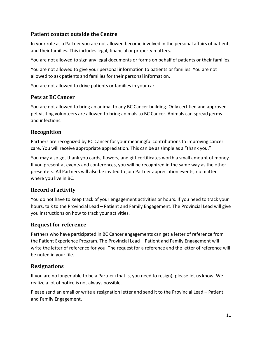#### <span id="page-11-0"></span>**Patient contact outside the Centre**

In your role as a Partner you are not allowed become involved in the personal affairs of patients and their families. This includes legal, financial or property matters.

You are not allowed to sign any legal documents or forms on behalf of patients or their families.

You are not allowed to give your personal information to patients or families. You are not allowed to ask patients and families for their personal information.

You are not allowed to drive patients or families in your car.

#### <span id="page-11-1"></span>**Pets at BC Cancer**

You are not allowed to bring an animal to any BC Cancer building. Only certified and approved pet visiting volunteers are allowed to bring animals to BC Cancer. Animals can spread germs and infections.

#### <span id="page-11-2"></span>**Recognition**

Partners are recognized by BC Cancer for your meaningful contributions to improving cancer care. You will receive appropriate appreciation. This can be as simple as a "thank you."

You may also get thank you cards, flowers, and gift certificates worth a small amount of money. If you present at events and conferences, you will be recognized in the same way as the other presenters. All Partners will also be invited to join Partner appreciation events, no matter where you live in BC.

#### <span id="page-11-3"></span>**Record of activity**

You do not have to keep track of your engagement activities or hours. If you need to track your hours, talk to the Provincial Lead – Patient and Family Engagement. The Provincial Lead will give you instructions on how to track your activities.

#### <span id="page-11-4"></span>**Request for reference**

Partners who have participated in BC Cancer engagements can get a letter of reference from the Patient Experience Program. The Provincial Lead – Patient and Family Engagement will write the letter of reference for you. The request for a reference and the letter of reference will be noted in your file.

#### <span id="page-11-5"></span>**Resignations**

If you are no longer able to be a Partner (that is, you need to resign), please let us know. We realize a lot of notice is not always possible.

Please send an email or write a resignation letter and send it to the Provincial Lead – Patient and Family Engagement.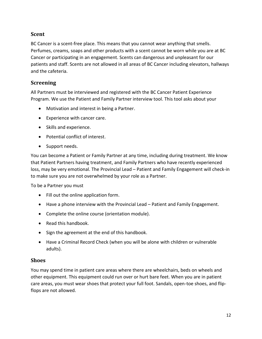#### <span id="page-12-0"></span>**Scent**

BC Cancer is a scent-free place. This means that you cannot wear anything that smells. Perfumes, creams, soaps and other products with a scent cannot be worn while you are at BC Cancer or participating in an engagement. Scents can dangerous and unpleasant for our patients and staff. Scents are not allowed in all areas of BC Cancer including elevators, hallways and the cafeteria.

#### <span id="page-12-1"></span>**Screening**

All Partners must be interviewed and registered with the BC Cancer Patient Experience Program. We use the Patient and Family Partner interview tool. This tool asks about your

- Motivation and interest in being a Partner.
- Experience with cancer care.
- Skills and experience.
- Potential conflict of interest.
- Support needs.

You can become a Patient or Family Partner at any time, including during treatment. We know that Patient Partners having treatment, and Family Partners who have recently experienced loss, may be very emotional. The Provincial Lead – Patient and Family Engagement will check-in to make sure you are not overwhelmed by your role as a Partner.

To be a Partner you must

- Fill out the online application form.
- Have a phone interview with the Provincial Lead Patient and Family Engagement.
- Complete the online course (orientation module).
- Read this handbook.
- Sign the agreement at the end of this handbook.
- Have a Criminal Record Check (when you will be alone with children or vulnerable adults).

#### <span id="page-12-2"></span>**Shoes**

You may spend time in patient care areas where there are wheelchairs, beds on wheels and other equipment. This equipment could run over or hurt bare feet. When you are in patient care areas, you must wear shoes that protect your full foot. Sandals, open-toe shoes, and flipflops are not allowed.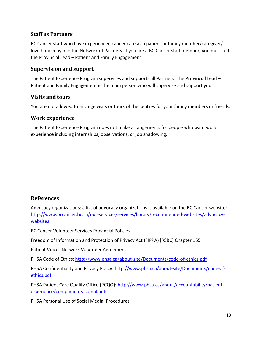#### <span id="page-13-0"></span>**Staff as Partners**

BC Cancer staff who have experienced cancer care as a patient or family member/caregiver/ loved one may join the Network of Partners. If you are a BC Cancer staff member, you must tell the Provincial Lead – Patient and Family Engagement.

#### <span id="page-13-1"></span>**Supervision and support**

The Patient Experience Program supervises and supports all Partners. The Provincial Lead – Patient and Family Engagement is the main person who will supervise and support you.

#### <span id="page-13-2"></span>**Visits and tours**

You are not allowed to arrange visits or tours of the centres for your family members or friends.

#### <span id="page-13-3"></span>**Work experience**

The Patient Experience Program does not make arrangements for people who want work experience including internships, observations, or job shadowing.

#### <span id="page-13-4"></span>**References**

Advocacy organizations: a list of advocacy organizations is available on the BC Cancer website: [http://www.bccancer.bc.ca/our-services/services/library/recommended-websites/advocacy](http://www.bccancer.bc.ca/our-services/services/library/recommended-websites/advocacy-websites)[websites](http://www.bccancer.bc.ca/our-services/services/library/recommended-websites/advocacy-websites)

BC Cancer Volunteer Services Provincial Policies

Freedom of Information and Protection of Privacy Act (FIPPA) [RSBC] Chapter 165

Patient Voices Network Volunteer Agreement

PHSA Code of Ethics:<http://www.phsa.ca/about-site/Documents/code-of-ethics.pdf>

PHSA Confidentiality and Privacy Policy: [http://www.phsa.ca/about-site/Documents/code-of](http://www.phsa.ca/about-site/Documents/code-of-ethics.pdf)[ethics.pdf](http://www.phsa.ca/about-site/Documents/code-of-ethics.pdf)

PHSA Patient Care Quality Office (PCQO): [http://www.phsa.ca/about/accountability/patient](http://www.phsa.ca/about/accountability/patient-experience/compliments-complaints)[experience/compliments-complaints](http://www.phsa.ca/about/accountability/patient-experience/compliments-complaints)

PHSA Personal Use of Social Media: Procedures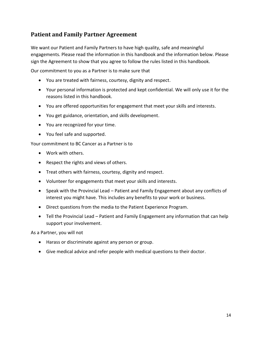# <span id="page-14-0"></span>**Patient and Family Partner Agreement**

We want our Patient and Family Partners to have high quality, safe and meaningful engagements. Please read the information in this handbook and the information below. Please sign the Agreement to show that you agree to follow the rules listed in this handbook.

Our commitment to you as a Partner is to make sure that

- You are treated with fairness, courtesy, dignity and respect.
- Your personal information is protected and kept confidential. We will only use it for the reasons listed in this handbook.
- You are offered opportunities for engagement that meet your skills and interests.
- You get guidance, orientation, and skills development.
- You are recognized for your time.
- You feel safe and supported.

Your commitment to BC Cancer as a Partner is to

- Work with others.
- Respect the rights and views of others.
- Treat others with fairness, courtesy, dignity and respect.
- Volunteer for engagements that meet your skills and interests.
- Speak with the Provincial Lead Patient and Family Engagement about any conflicts of interest you might have. This includes any benefits to your work or business.
- Direct questions from the media to the Patient Experience Program.
- Tell the Provincial Lead Patient and Family Engagement any information that can help support your involvement.

As a Partner, you will not

- Harass or discriminate against any person or group.
- Give medical advice and refer people with medical questions to their doctor.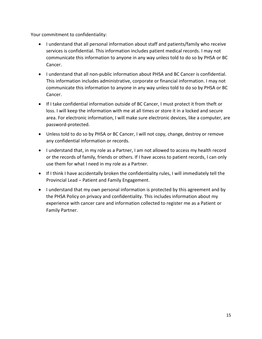Your commitment to confidentiality:

- I understand that all personal information about staff and patients/family who receive services is confidential. This information includes patient medical records. I may not communicate this information to anyone in any way unless told to do so by PHSA or BC Cancer.
- I understand that all non-public information about PHSA and BC Cancer is confidential. This information includes administrative, corporate or financial information. I may not communicate this information to anyone in any way unless told to do so by PHSA or BC Cancer.
- If I take confidential information outside of BC Cancer, I must protect it from theft or loss. I will keep the information with me at all times or store it in a locked and secure area. For electronic information, I will make sure electronic devices, like a computer, are password-protected.
- Unless told to do so by PHSA or BC Cancer, I will not copy, change, destroy or remove any confidential information or records.
- I understand that, in my role as a Partner, I am not allowed to access my health record or the records of family, friends or others. If I have access to patient records, I can only use them for what I need in my role as a Partner.
- If I think I have accidentally broken the confidentiality rules, I will immediately tell the Provincial Lead – Patient and Family Engagement.
- I understand that my own personal information is protected by this agreement and by the PHSA Policy on privacy and confidentiality. This includes information about my experience with cancer care and information collected to register me as a Patient or Family Partner.